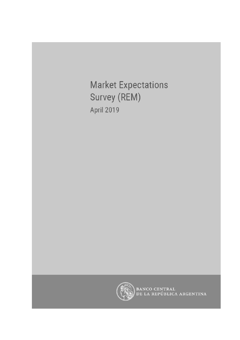**Market Expectations** Survey (REM) **April 2019** 



BANCO CENTRAL<br>DE LA REPÚBLICA ARGENTINA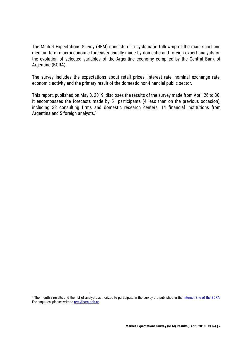The Market Expectations Survey (REM) consists of a systematic follow-up of the main short and medium term macroeconomic forecasts usually made by domestic and foreign expert analysts on the evolution of selected variables of the Argentine economy compiled by the Central Bank of Argentina (BCRA).

The survey includes the expectations about retail prices, interest rate, nominal exchange rate, economic activity and the primary result of the domestic non-financial public sector.

This report, published on May 3, 2019, discloses the results of the survey made from April 26 to 30. It encompasses the forecasts made by 51 participants (4 less than on the previous occasion), including 32 consulting firms and domestic research centers, 14 financial institutions from Argentina and 5 foreign analysts. 1

<sup>&</sup>lt;sup>1</sup> The monthly results and the list of analysts authorized to participate in the survey are published in the [Internet Site of the BCRA.](http://www.bcra.gob.ar/PublicacionesEstadisticas/Relevamiento_Expectativas_de_Mercado.asp) For enquiries, please write to [rem@bcra.gob.ar.](mailto:rem@bcra.gob.ar)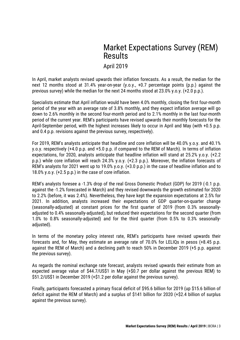# Market Expectations Survey (REM) Results

### April 2019

In April, market analysts revised upwards their inflation forecasts. As a result, the median for the next 12 months stood at 31.4% year-on-year (y.o.y., +0.7 percentage points (p.p.) against the previous survey) while the median for the next 24 months stood at 23.0% y.o.y. (+2.0 p.p.).

Specialists estimate that April inflation would have been 4.0% monthly, closing the first four-month period of the year with an average rate of 3.8% monthly, and they expect inflation average will go down to 2.6% monthly in the second four-month period and to 2.1% monthly in the last four-month period of the current year. REM's participants have revised upwards their monthly forecasts for the April-September period, with the highest increases likely to occur in April and May (with +0.5 p.p. and 0.4 p.p. revisions against the previous survey, respectively).

For 2019, REM's analysts anticipate that headline and core inflation will be 40.0% y.o.y. and 40.1% y.o.y. respectively (+4.0 p.p. and +5.0 p.p. if compared to the REM of March). In terms of inflation expectations, for 2020, analysts anticipate that headline inflation will stand at 25.2% y.o.y. (+2.2 p.p.) while core inflation will reach 24.3% y.o.y. (+2.3 p.p.). Moreover, the inflation forecasts of REM's analysts for 2021 went up to 19.0% y.o.y. (+3.0 p.p.) in the case of headline inflation and to 18.0% y.o.y. (+2.5 p.p.) in the case of core inflation.

REM's analysts foresee a -1.3% drop of the real Gross Domestic Product (GDP) for 2019 (-0.1 p.p. against the -1.2% forecasted in March) and they revised downwards the growth estimated for 2020 to 2.2% (before, it was 2.4%). Nevertheless, they have kept the expansion expectations at 2.5% for 2021. In addition, analysts increased their expectations of GDP quarter-on-quarter change (seasonally-adjusted) at constant prices for the first quarter of 2019 (from 0.3% seasonallyadjusted to 0.4% seasonally-adjusted), but reduced their expectations for the second quarter (from 1.0% to 0.8% seasonally-adjusted) and for the third quarter (from 0.5% to 0.3% seasonallyadjusted).

In terms of the monetary policy interest rate, REM's participants have revised upwards their forecasts and, for May, they estimate an average rate of 70.0% for LELIQs in pesos (+8.45 p.p. against the REM of March) and a declining path to reach 50% in December 2019 (+5 p.p. against the previous survey).

As regards the nominal exchange rate forecast, analysts revised upwards their estimate from an expected average value of \$44.7/US\$1 in May (+\$0.7 per dollar against the previous REM) to \$51.2/US\$1 in December 2019 (+\$1.2 per dollar against the previous survey).

Finally, participants forecasted a primary fiscal deficit of \$95.6 billion for 2019 (up \$15.6 billion of deficit against the REM of March) and a surplus of \$141 billion for 2020 (+\$2.4 billion of surplus against the previous survey).